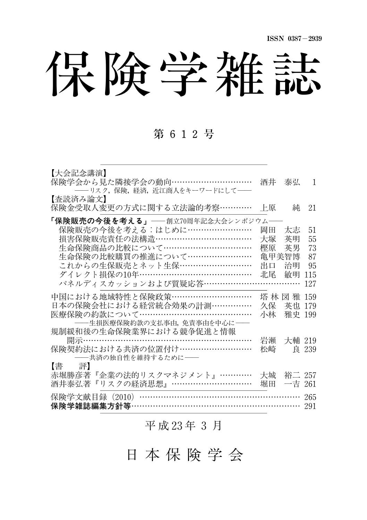保険学雑誌

## 第 612号

| 【大会記念講演】<br>保険学会から見た隣接学会の動向…………………………<br>――リスク, 保険, 経済, 近江商人をキーワードにして―― | 洒井    | 泰弘          | 1     |
|-------------------------------------------------------------------------|-------|-------------|-------|
| 【査読済み論文】<br>保険金受取人変更の方式に関する立法論的考察…………                                   | 上原    | 純           | 21    |
| <b>「保険販売の今後を考える」——</b> 創立70周年記念大会シンポジウム——                               |       |             |       |
| 保険販売の今後を考える:はじめに……………………                                                | 岡田    | 太志          | 51    |
| 損害保険販売責任の法構造………………………………                                                | 大塚    | 英明          | 55    |
| 生命保険商品の比較について……………………………                                                | 樫原    | 英男          | 73    |
| 生命保険の比較購買の推進について……………………                                                | 亀甲美智博 |             | 87    |
| これからの生保販売とネット生保………………………                                                | 出口    | 治明          | 95    |
| ダイレクト損保の10年…………………………………                                                | 北尾    | 敏明          | 115   |
| パネルディスカッションおよび質疑応答………………………………                                          |       |             | 127   |
| 中国における地域特性と保険政策…………………………                                               |       | 塔 林 図 雅 159 |       |
| 日本の保険会社における経営統合効果の計測……………                                               | 久保    | 英也 179      |       |
| 医療保険の約款について……………………………………                                               | 小林    | 雅史 199      |       |
| ――生損医療保険約款の支払事由、免責事由を中心に――                                              |       |             |       |
| 規制緩和後の生命保険業界における競争促進と情報                                                 |       |             |       |
| 開示…………………………………………………………                                                | 岩瀬    | 大輔 219      |       |
| 保険契約法における共済の位置付け………………………                                               | 松崎    |             | 良 239 |
| ――共済の独自性を維持するために――                                                      |       |             |       |
| 評】<br>【書】                                                               |       |             |       |
| 赤堀勝彦著『企業の法的リスクマネジメント』…………                                               | 大城    | 裕二 257      |       |
| 酒井泰弘著『リスクの経済思想』…………………………                                               |       | 堀田 一吉 261   |       |
|                                                                         |       |             | 265   |
| 保険学文献目録(2010)……………………………………………………<br>保険学雑誌編集方針等……………………………………………………     |       |             | 291   |
|                                                                         |       |             |       |

平 成 23年 3 月

日 本 保 険 学 会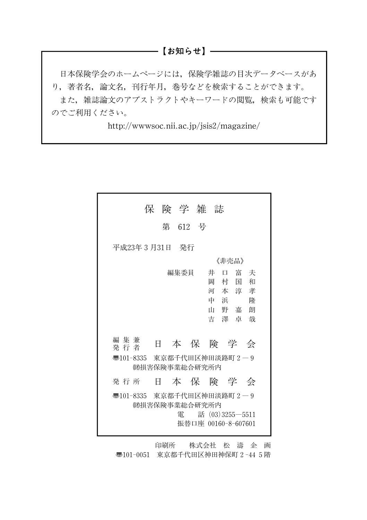#### ──【お知らせ】─

日本保険学会のホームページには,保険学雑誌の目次データベースがあ り,著者名,論文名,刊行年月,巻号などを検索することができます。 また、雑誌論文のアブストラクトやキーワードの閲覧、検索も可能です のでご利用ください。

http://wwwsoc.nii.ac.jp/jsis2/magazine/

|                                           | 保険学雑誌              |         |  |                                            |                                              |  |
|-------------------------------------------|--------------------|---------|--|--------------------------------------------|----------------------------------------------|--|
|                                           |                    | 第 612 号 |  |                                            |                                              |  |
| 平成23年 3 月31日 発行                           |                    |         |  |                                            |                                              |  |
| 《非壳品》                                     |                    |         |  |                                            |                                              |  |
| 編集兼<br>発 行 者<br>零101-8335 東京都千代田区神田淡路町2―9 | Ħ<br>側損害保険事業総合研究所内 | 編集委員    |  | 井<br>岡<br>村<br>中浜<br>本 保 険 学 会             | 口 富 夫<br>和<br>国<br>河本淳孝<br>降<br>山野嘉朗<br>吉澤卓哉 |  |
| 発 行 所                                     |                    |         |  | 日 本 保 険 学 会                                |                                              |  |
| 35101-8335 東京都千代田区神田淡路町 2-9               | 側捐害保険事業総合研究所内      | 雷       |  | 話 $(03)3255 - 5511$<br>振巷口座 00160-8-607601 |                                              |  |

印刷所 株式会社 松 濤 企 画 〠101-0051 東京都千代田区神田神保町2-445階